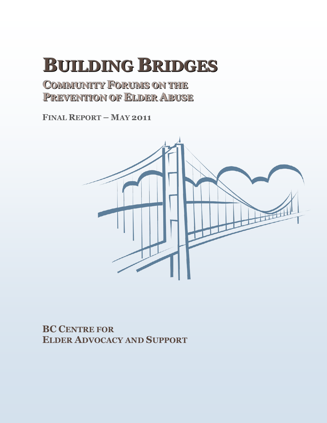# **BUILDING BRIDGES**

**COOMMMMUUNNIITTYY FOORRUUMMSS OONNTTHHEE PREVENTION OF ELDER ABUSE** 

**FINAL REPORT – MAY 2011**



**BC CENTRE FOR ELDER ADVOCACY AND SUPPORT**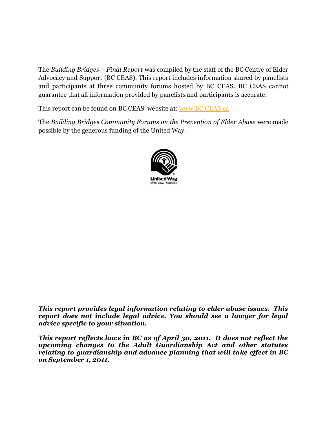The *Building Bridges – Final Report* was compiled by the staff of the BC Centre of Elder Advocacy and Support (BC CEAS). This report includes information shared by panelists and participants at three community forums hosted by BC CEAS. BC CEAS cannot guarantee that all information provided by panelists and participants is accurate.

This report can be found on BC CEAS' website at: [www.BC CEAS.ca](http://www.bcceas.ca/) 

The *Building Bridges Community Forums on the Prevention of Elder Abuse* were made possible by the generous funding of the United Way.



*This report provides legal information relating to elder abuse issues. This report does not include legal advice. You should see a lawyer for legal advice specific to your situation.* 

*This report reflects laws in BC as of April 30, 2011. It does not reflect the upcoming changes to the Adult Guardianship Act and other statutes relating to guardianship and advance planning that will take effect in BC on September 1, 2011.*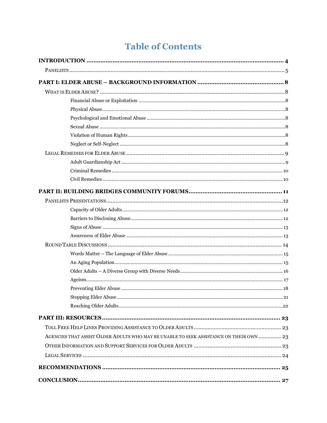# **Table of Contents**

| AGENCIES THAT ASSIST OLDER ADULTS WHO MAY BE UNABLE TO SEEK ASSISTANCE ON THEIR OWN  23 |  |
|-----------------------------------------------------------------------------------------|--|
|                                                                                         |  |
|                                                                                         |  |
|                                                                                         |  |
|                                                                                         |  |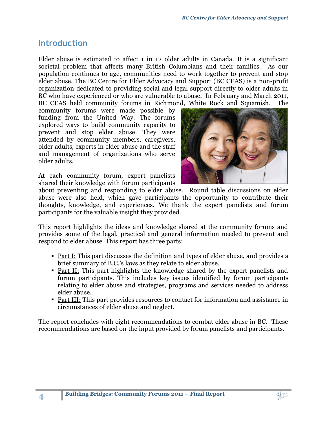# <span id="page-3-0"></span>**Introduction**

**4**

Elder abuse is estimated to affect 1 in 12 older adults in Canada. It is a significant societal problem that affects many British Columbians and their families. As our population continues to age, communities need to work together to prevent and stop elder abuse. The BC Centre for Elder Advocacy and Support (BC CEAS) is a non-profit organization dedicated to providing social and legal support directly to older adults in BC who have experienced or who are vulnerable to abuse. In February and March 2011, BC CEAS held community forums in Richmond, White Rock and Squamish. The

community forums were made possible by funding from the United Way. The forums explored ways to build community capacity to prevent and stop elder abuse. They were attended by community members, caregivers, older adults, experts in elder abuse and the staff and management of organizations who serve older adults.

At each community forum, expert panelists shared their knowledge with forum participants



about preventing and responding to elder abuse. Round table discussions on elder abuse were also held, which gave participants the opportunity to contribute their thoughts, knowledge, and experiences. We thank the expert panelists and forum participants for the valuable insight they provided.

This report highlights the ideas and knowledge shared at the community forums and provides some of the legal, practical and general information needed to prevent and respond to elder abuse. This report has three parts:

- Part I: This part discusses the definition and types of elder abuse, and provides a brief summary of B.C.'s laws as they relate to elder abuse.
- Part II: This part highlights the knowledge shared by the expert panelists and forum participants. This includes key issues identified by forum participants relating to elder abuse and strategies, programs and services needed to address elder abuse.
- Part III: This part provides resources to contact for information and assistance in circumstances of elder abuse and neglect.

The report concludes with eight recommendations to combat elder abuse in BC. These recommendations are based on the input provided by forum panelists and participants.

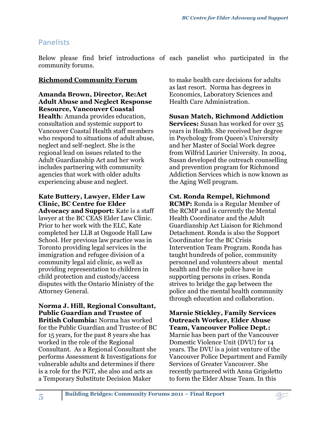# <span id="page-4-0"></span>**Panelists**

Below please find brief introductions of each panelist who participated in the community forums.

#### **Richmond Community Forum**

**Amanda Brown, Director, Re:Act Adult Abuse and Neglect Response Resource, Vancouver Coastal Health:** Amanda provides education, consultation and systemic support to Vancouver Coastal Health staff members who respond to situations of adult abuse, neglect and self-neglect. She is the regional lead on issues related to the Adult Guardianship Act and her work includes partnering with community agencies that work with older adults experiencing abuse and neglect.

# **Kate Buttery, Lawyer, Elder Law Clinic, BC Centre for Elder**

**Advocacy and Support:** Kate is a staff lawyer at the BC CEAS Elder Law Clinic. Prior to her work with the ELC, Kate completed her LLB at Osgoode Hall Law School. Her previous law practice was in Toronto providing legal services in the immigration and refugee division of a community legal aid clinic, as well as providing representation to children in child protection and custody/access disputes with the Ontario Ministry of the Attorney General.

# **Norma J. Hill, Regional Consultant, Public Guardian and Trustee of**

**British Columbia:** Norma has worked for the Public Guardian and Trustee of BC for 15 years, for the past 8 years she has worked in the role of the Regional Consultant. As a Regional Consultant she performs Assessment & Investigations for vulnerable adults and determines if there is a role for the PGT, she also and acts as a Temporary Substitute Decision Maker

**5**

to make health care decisions for adults as last resort. Norma has degrees in Economics, Laboratory Sciences and Health Care Administration.

#### **Susan Match, Richmond Addiction Services:** Susan has worked for over 35 years in Health. She received her degree in Psychology from Queen's University and her Master of Social Work degree from Wilfrid Laurier University. In 2004, Susan developed the outreach counselling and prevention program for Richmond Addiction Services which is now known as the Aging Well program.

#### **Cst. Ronda Rempel, Richmond**

**RCMP:** Ronda is a Regular Member of the RCMP and is currently the Mental Health Coordinator and the Adult Guardianship Act Liaison for Richmond Detachment. Ronda is also the Support Coordinator for the BC Crisis Intervention Team Program. Ronda has taught hundreds of police, community personnel and volunteers about mental health and the role police have in supporting persons in crises. Ronda strives to bridge the gap between the police and the mental health community through education and collaboration.

**Marnie Stickley, Family Services Outreach Worker, Elder Abuse Team, Vancouver Police Dept.:** Marnie has been part of the Vancouver Domestic Violence Unit (DVU) for 14 years. The DVU is a joint venture of the Vancouver Police Department and Family Services of Greater Vancouver. She recently partnered with Anna Grigoletto to form the Elder Abuse Team. In this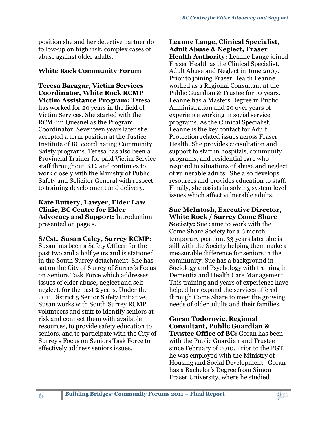position she and her detective partner do follow-up on high risk, complex cases of abuse against older adults.

#### **White Rock Community Forum**

**Teresa Baragar, Victim Services Coordinator, White Rock RCMP Victim Assistance Program:** Teresa has worked for 20 years in the field of Victim Services. She started with the RCMP in Quesnel as the Program Coordinator. Seventeen years later she accepted a term position at the Justice Institute of BC coordinating Community Safety programs. Teresa has also been a Provincial Trainer for paid Victim Service staff throughout B.C. and continues to work closely with the Ministry of Public Safety and Solicitor General with respect to training development and delivery.

**Kate Buttery, Lawyer, Elder Law Clinic, BC Centre for Elder Advocacy and Support:** Introduction presented on page 5.

**S/Cst. Susan Caley, Surrey RCMP:**  Susan has been a Safety Officer for the past two and a half years and is stationed in the South Surrey detachment. She has sat on the City of Surrey of Surrey's Focus on Seniors Task Force which addresses issues of elder abuse, neglect and self neglect, for the past 2 years. Under the 2011 District 5 Senior Safety Initiative, Susan works with South Surrey RCMP volunteers and staff to identify seniors at risk and connect them with available resources, to provide safety education to seniors, and to participate with the City of Surrey's Focus on Seniors Task Force to effectively address seniors issues.

**6**

**Leanne Lange, Clinical Specialist, Adult Abuse & Neglect, Fraser Health Authority:** Leanne Lange joined Fraser Health as the Clinical Specialist, Adult Abuse and Neglect in June 2007. Prior to joining Fraser Health Leanne worked as a Regional Consultant at the Public Guardian & Trustee for 10 years. Leanne has a Masters Degree in Public Administration and 20 over years of experience working in social service programs. As the Clinical Specialist, Leanne is the key contact for Adult Protection related issues across Fraser Health. She provides consultation and support to staff in hospitals, community programs, and residential care who respond to situations of abuse and neglect of vulnerable adults. She also develops resources and provides education to staff. Finally, she assists in solving system level issues which affect vulnerable adults.

**Sue McIntosh, Executive Director, White Rock / Surrey Come Share** 

**Society:** Sue came to work with the Come Share Society for a 6 month temporary position, 33 years later she is still with the Society helping them make a measurable difference for seniors in the community. Sue has a background in Sociology and Psychology with training in Dementia and Health Care Management. This training and years of experience have helped her expand the services offered through Come Share to meet the growing needs of older adults and their families.

**Goran Todorovic, Regional Consultant, Public Guardian & Trustee Office of BC:** Goran has been with the Public Guardian and Trustee since February of 2010. Prior to the PGT, he was employed with the Ministry of Housing and Social Development. Goran has a Bachelor's Degree from Simon Fraser University, where he studied

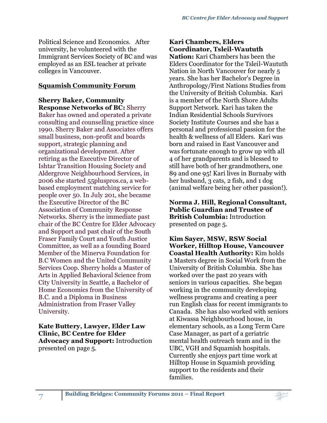Political Science and Economics. After university, he volunteered with the Immigrant Services Society of BC and was employed as an ESL teacher at private colleges in Vancouver.

#### **Squamish Community Forum**

**Sherry Baker, Community Response Networks of BC:** Sherry Baker has owned and operated a private consulting and counselling practice since 1990. Sherry Baker and Associates offers small business, non-profit and boards support, strategic planning and organizational development. After retiring as the Executive Director of Ishtar Transition Housing Society and Aldergrove Neighbourhood Services, in 2006 she started 55pluspros.ca, a webbased employment matching service for people over 50. In July 201, she became the Executive Director of the BC Association of Community Response Networks. Sherry is the immediate past chair of the BC Centre for Elder Advocacy and Support and past chair of the South Fraser Family Court and Youth Justice Committee, as well as a founding Board Member of the Minerva Foundation for B.C Women and the United Community Services Coop. Sherry holds a Master of Arts in Applied Behavioral Science from City University in Seattle, a Bachelor of Home Economics from the University of B.C. and a Diploma in Business Administration from Fraser Valley University.

**Kate Buttery, Lawyer, Elder Law Clinic, BC Centre for Elder Advocacy and Support:** Introduction presented on page 5.

### **Kari Chambers, Elders Coordinator, Tsleil-Waututh**

**Nation:** Kari Chambers has been the Elders Coordinator for the Tsleil-Waututh Nation in North Vancouver for nearly 5 years. She has her Bachelor's Degree in Anthropology/First Nations Studies from the University of British Columbia. Kari is a member of the North Shore Adults Support Network. Kari has taken the Indian Residential Schools Survivors Society Institute Courses and she has a personal and professional passion for the health & wellness of all Elders. Kari was born and raised in East Vancouver and was fortunate enough to grow up with all 4 of her grandparents and is blessed to still have both of her grandmothers, one 89 and one 95! Kari lives in Burnaby with her husband, 3 cats, 2 fish, and 1 dog (animal welfare being her other passion!).

**Norma J. Hill, Regional Consultant, Public Guardian and Trustee of British Columbia:** Introduction presented on page 5.

**Kim Sayer, MSW, RSW Social Worker, Hilltop House, Vancouver Coastal Health Authority:** Kim holds a Masters degree in Social Work from the University of British Columbia. She has worked over the past 20 years with seniors in various capacities. She began working in the community developing wellness programs and creating a peer run English class for recent immigrants to Canada. She has also worked with seniors at Kiwassa Neighbourhood house, in elementary schools, as a Long Term Care Case Manager, as part of a geriatric mental health outreach team and in the UBC, VGH and Squamish hospitals. Currently she enjoys part time work at Hilltop House in Squamish providing support to the residents and their families.

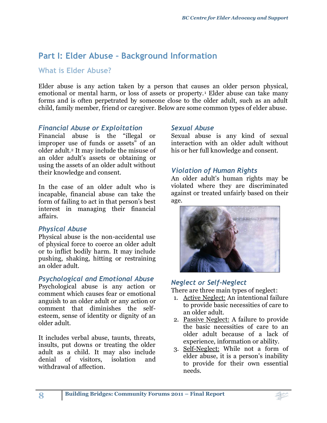# <span id="page-7-0"></span>**Part I: Elder Abuse – Background Information**

# <span id="page-7-1"></span>**What is Elder Abuse?**

Elder abuse is any action taken by a person that causes an older person physical, emotional or mental harm, or loss of assets or property.<sup>1</sup> Elder abuse can take many forms and is often perpetrated by someone close to the older adult, such as an adult child, family member, friend or caregiver. Below are some common types of elder abuse.

#### <span id="page-7-2"></span>*Financial Abuse or Exploitation*

Financial abuse is the "illegal or improper use of funds or assets" of an older adult.<sup>2</sup> It may include the misuse of an older adult's assets or obtaining or using the assets of an older adult without their knowledge and consent.

In the case of an older adult who is incapable, financial abuse can take the form of failing to act in that person's best interest in managing their financial affairs.

#### <span id="page-7-3"></span>*Physical Abuse*

**8**

Physical abuse is the non-accidental use of physical force to coerce an older adult or to inflict bodily harm. It may include pushing, shaking, hitting or restraining an older adult.

#### <span id="page-7-4"></span>*Psychological and Emotional Abuse*

Psychological abuse is any action or comment which causes fear or emotional anguish to an older adult or any action or comment that diminishes the selfesteem, sense of identity or dignity of an older adult.

It includes verbal abuse, taunts, threats, insults, put downs or treating the older adult as a child. It may also include denial of visitors, isolation and withdrawal of affection.

#### <span id="page-7-5"></span>*Sexual Abuse*

Sexual abuse is any kind of sexual interaction with an older adult without his or her full knowledge and consent.

#### <span id="page-7-6"></span>*Violation of Human Rights*

An older adult's human rights may be violated where they are discriminated against or treated unfairly based on their age.



#### <span id="page-7-7"></span>*Neglect or Self-Neglect*

There are three main types of neglect:

- 1. Active Neglect: An intentional failure to provide basic necessities of care to an older adult.
- 2. Passive Neglect: A failure to provide the basic necessities of care to an older adult because of a lack of experience, information or ability.
- 3. Self-Neglect: While not a form of elder abuse, it is a person's inability to provide for their own essential needs.

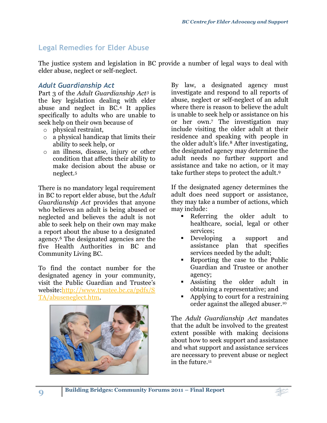# <span id="page-8-0"></span>**Legal Remedies for Elder Abuse**

The justice system and legislation in BC provide a number of legal ways to deal with elder abuse, neglect or self-neglect.

#### <span id="page-8-1"></span>*Adult Guardianship Act*

Part 3 of the *Adult Guardianship Act<sup>3</sup>* is the key legislation dealing with elder abuse and neglect in BC.<sup>4</sup> It applies specifically to adults who are unable to seek help on their own because of

- o physical restraint,
- o a physical handicap that limits their ability to seek help, or
- o an illness, disease, injury or other condition that affects their ability to make decision about the abuse or neglect. 5

There is no mandatory legal requirement in BC to report elder abuse, but the *Adult Guardianship Act* provides that anyone who believes an adult is being abused or neglected and believes the adult is not able to seek help on their own may make a report about the abuse to a designated agency.<sup>6</sup> The designated agencies are the five Health Authorities in BC and Community Living BC.

To find the contact number for the designated agency in your community, visit the Public Guardian and Trustee's website[:http://www.trustee.bc.ca/pdfs/S](http://www.trustee.bc.ca/pdfs/STA/abuseneglect.htm) [TA/abuseneglect.htm.](http://www.trustee.bc.ca/pdfs/STA/abuseneglect.htm)



By law, a designated agency must investigate and respond to all reports of abuse, neglect or self-neglect of an adult where there is reason to believe the adult is unable to seek help or assistance on his or her own. <sup>7</sup> The investigation may include visiting the older adult at their residence and speaking with people in the older adult's life.<sup>8</sup> After investigating, the designated agency may determine the adult needs no further support and assistance and take no action, or it may take further steps to protect the adult. 9

If the designated agency determines the adult does need support or assistance, they may take a number of actions, which may include:

- Referring the older adult to healthcare, social, legal or other services;
- Developing a support and assistance plan that specifies services needed by the adult;
- Reporting the case to the Public Guardian and Trustee or another agency;
- Assisting the older adult in obtaining a representative; and
- Applying to court for a restraining order against the alleged abuser. 10

The *Adult Guardianship Act* mandates that the adult be involved to the greatest extent possible with making decisions about how to seek support and assistance and what support and assistance services are necessary to prevent abuse or neglect in the future.<sup>11</sup>

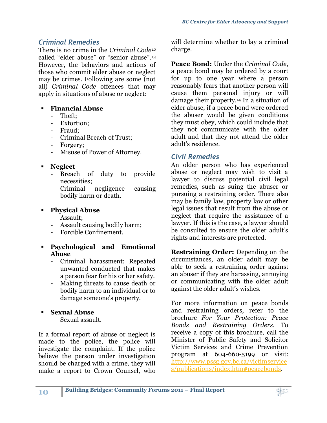# <span id="page-9-0"></span>*Criminal Remedies*

There is no crime in the *Criminal Code<sup>12</sup>* called "elder abuse" or "senior abuse".<sup>13</sup> However, the behaviors and actions of those who commit elder abuse or neglect may be crimes. Following are some (not all) *Criminal Code* offences that may apply in situations of abuse or neglect:

# **Financial Abuse**

- Theft;
- Extortion;
- Fraud;
- Criminal Breach of Trust;
- Forgery;
- Misuse of Power of Attorney.

# **Neglect**

- Breach of duty to provide necessities;
- Criminal negligence causing bodily harm or death.

### **Physical Abuse**

- Assault;
- Assault causing bodily harm;
- Forcible Confinement.
- **Psychological and Emotional Abuse**
	- Criminal harassment: Repeated unwanted conducted that makes a person fear for his or her safety.
	- Making threats to cause death or bodily harm to an individual or to damage someone's property.

# **Sexual Abuse**

- Sexual assault.

If a formal report of abuse or neglect is made to the police, the police will investigate the complaint. If the police believe the person under investigation should be charged with a crime, they will make a report to Crown Counsel, who will determine whether to lay a criminal charge.

**Peace Bond:** Under the *Criminal Code*, a peace bond may be ordered by a court for up to one year where a person reasonably fears that another person will cause them personal injury or will damage their property.<sup>14</sup> In a situation of elder abuse, if a peace bond were ordered the abuser would be given conditions they must obey, which could include that they not communicate with the older adult and that they not attend the older adult's residence.

# <span id="page-9-1"></span>*Civil Remedies*

An older person who has experienced abuse or neglect may wish to visit a lawyer to discuss potential civil legal remedies, such as suing the abuser or pursuing a restraining order. There also may be family law, property law or other legal issues that result from the abuse or neglect that require the assistance of a lawyer. If this is the case, a lawyer should be consulted to ensure the older adult's rights and interests are protected.

**Restraining Order:** Depending on the circumstances, an older adult may be able to seek a restraining order against an abuser if they are harassing, annoying or communicating with the older adult against the older adult's wishes.

For more information on peace bonds and restraining orders, refer to the brochure *For Your Protection: Peace Bonds and Restraining Orders*. To receive a copy of this brochure, call the Minister of Public Safety and Solicitor Victim Services and Crime Prevention program at 604-660-5199 or visit: [http://www.pssg.gov.bc.ca/victimservice](http://www.pssg.gov.bc.ca/victimservices/publications/index.htm#peacebonds) [s/publications/index.htm#peacebonds.](http://www.pssg.gov.bc.ca/victimservices/publications/index.htm#peacebonds)

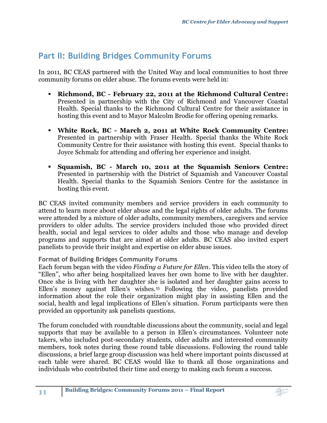# <span id="page-10-0"></span>**Part II: Building Bridges Community Forums**

In 2011, BC CEAS partnered with the United Way and local communities to host three community forums on elder abuse. The forums events were held in:

- **Richmond, BC - February 22, 2011 at the Richmond Cultural Centre:** Presented in partnership with the City of Richmond and Vancouver Coastal Health. Special thanks to the Richmond Cultural Centre for their assistance in hosting this event and to Mayor Malcolm Brodie for offering opening remarks.
- **White Rock, BC - March 2, 2011 at White Rock Community Centre:** Presented in partnership with Fraser Health. Special thanks the White Rock Community Centre for their assistance with hosting this event. Special thanks to Joyce Schmalz for attending and offering her experience and insight.
- **Squamish, BC - March 10, 2011 at the Squamish Seniors Centre:** Presented in partnership with the District of Squamish and Vancouver Coastal Health. Special thanks to the Squamish Seniors Centre for the assistance in hosting this event.

BC CEAS invited community members and service providers in each community to attend to learn more about elder abuse and the legal rights of older adults. The forums were attended by a mixture of older adults, community members, caregivers and service providers to older adults. The service providers included those who provided direct health, social and legal services to older adults and those who manage and develop programs and supports that are aimed at older adults. BC CEAS also invited expert panelists to provide their insight and expertise on elder abuse issues.

#### **Format of Building Bridges Community Forums**

Each forum began with the video *Finding a Future for Ellen*. This video tells the story of "Ellen", who after being hospitalized leaves her own home to live with her daughter. Once she is living with her daughter she is isolated and her daughter gains access to Ellen's money against Ellen's wishes. <sup>15</sup> Following the video, panelists provided information about the role their organization might play in assisting Ellen and the social, health and legal implications of Ellen's situation. Forum participants were then provided an opportunity ask panelists questions.

The forum concluded with roundtable discussions about the community, social and legal supports that may be available to a person in Ellen's circumstances. Volunteer note takers, who included post-secondary students, older adults and interested community members, took notes during these round table discussions. Following the round table discussions, a brief large group discussion was held where important points discussed at each table were shared. BC CEAS would like to thank all those organizations and individuals who contributed their time and energy to making each forum a success.

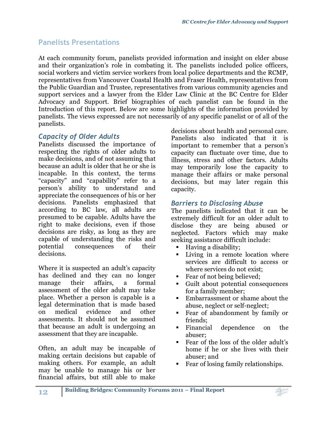# <span id="page-11-0"></span>**Panelists Presentations**

At each community forum, panelists provided information and insight on elder abuse and their organization's role in combating it. The panelists included police officers, social workers and victim service workers from local police departments and the RCMP, representatives from Vancouver Coastal Health and Fraser Health, representatives from the Public Guardian and Trustee, representatives from various community agencies and support services and a lawyer from the Elder Law Clinic at the BC Centre for Elder Advocacy and Support. Brief biographies of each panelist can be found in the Introduction of this report. Below are some highlights of the information provided by panelists. The views expressed are not necessarily of any specific panelist or of all of the panelists.

# <span id="page-11-1"></span>*Capacity of Older Adults*

Panelists discussed the importance of respecting the rights of older adults to make decisions, and of not assuming that because an adult is older that he or she is incapable. In this context, the terms "capacity" and "capability" refer to a person's ability to understand and appreciate the consequences of his or her decisions. Panelists emphasized that according to BC law, all adults are presumed to be capable. Adults have the right to make decisions, even if those decisions are risky, as long as they are capable of understanding the risks and potential consequences of their decisions.

Where it is suspected an adult's capacity has declined and they can no longer manage their affairs, a formal assessment of the older adult may take place. Whether a person is capable is a legal determination that is made based on medical evidence and other assessments. It should not be assumed that because an adult is undergoing an assessment that they are incapable.

Often, an adult may be incapable of making certain decisions but capable of making others. For example, an adult may be unable to manage his or her financial affairs, but still able to make decisions about health and personal care. Panelists also indicated that it is important to remember that a person's capacity can fluctuate over time, due to illness, stress and other factors. Adults may temporarily lose the capacity to manage their affairs or make personal decisions, but may later regain this capacity.

# <span id="page-11-2"></span>*Barriers to Disclosing Abuse*

The panelists indicated that it can be extremely difficult for an older adult to disclose they are being abused or neglected. Factors which may make seeking assistance difficult include:

- Having a disability;
- Living in a remote location where services are difficult to access or where services do not exist;
- Fear of not being believed;
- Guilt about potential consequences for a family member;
- Embarrassment or shame about the abuse, neglect or self-neglect;
- Fear of abandonment by family or friends;
- Financial dependence on the abuser;
- Fear of the loss of the older adult's home if he or she lives with their abuser; and
- Fear of losing family relationships.

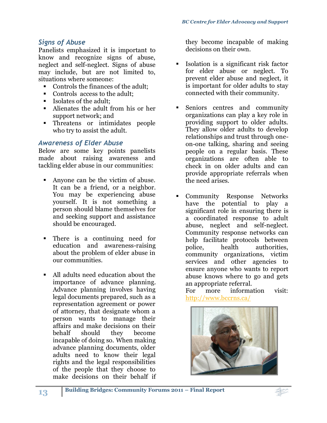# <span id="page-12-0"></span>*Signs of Abuse*

Panelists emphasized it is important to know and recognize signs of abuse, neglect and self-neglect. Signs of abuse may include, but are not limited to, situations where someone:

- Controls the finances of the adult;
- Controls access to the adult;
- Isolates of the adult:
- Alienates the adult from his or her support network; and
- Threatens or intimidates people who try to assist the adult.

#### <span id="page-12-1"></span>*Awareness of Elder Abuse*

Below are some key points panelists made about raising awareness and tackling elder abuse in our communities:

- Anyone can be the victim of abuse. It can be a friend, or a neighbor. You may be experiencing abuse yourself. It is not something a person should blame themselves for and seeking support and assistance should be encouraged.
- There is a continuing need for education and awareness-raising about the problem of elder abuse in our communities.
- All adults need education about the importance of advance planning. Advance planning involves having legal documents prepared, such as a representation agreement or power of attorney, that designate whom a person wants to manage their affairs and make decisions on their behalf should they become incapable of doing so. When making advance planning documents, older adults need to know their legal rights and the legal responsibilities of the people that they choose to make decisions on their behalf if

they become incapable of making decisions on their own.

- Isolation is a significant risk factor for elder abuse or neglect. To prevent elder abuse and neglect, it is important for older adults to stay connected with their community.
- Seniors centres and community organizations can play a key role in providing support to older adults. They allow older adults to develop relationships and trust through oneon-one talking, sharing and seeing people on a regular basis. These organizations are often able to check in on older adults and can provide appropriate referrals when the need arises.
- Community Response Networks have the potential to play a significant role in ensuring there is a coordinated response to adult abuse, neglect and self-neglect. Community response networks can help facilitate protocols between police, health authorities, community organizations, victim services and other agencies to ensure anyone who wants to report abuse knows where to go and gets an appropriate referral.

For more information visit: <http://www.bccrns.ca/>

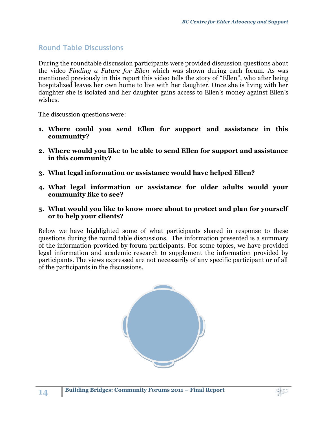# <span id="page-13-0"></span>**Round Table Discussions**

During the roundtable discussion participants were provided discussion questions about the video *Finding a Future for Ellen* which was shown during each forum. As was mentioned previously in this report this video tells the story of "Ellen", who after being hospitalized leaves her own home to live with her daughter. Once she is living with her daughter she is isolated and her daughter gains access to Ellen's money against Ellen's wishes.

The discussion questions were:

- **1. Where could you send Ellen for support and assistance in this community?**
- **2. Where would you like to be able to send Ellen for support and assistance in this community?**
- **3. What legal information or assistance would have helped Ellen?**
- **4. What legal information or assistance for older adults would your community like to see?**
- **5. What would you like to know more about to protect and plan for yourself or to help your clients?**

Below we have highlighted some of what participants shared in response to these questions during the round table discussions. The information presented is a summary of the information provided by forum participants. For some topics, we have provided legal information and academic research to supplement the information provided by participants. The views expressed are not necessarily of any specific participant or of all of the participants in the discussions.



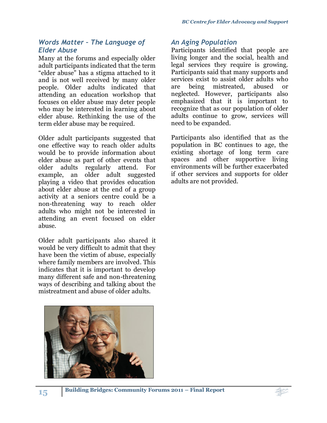#### <span id="page-14-0"></span>*Words Matter – The Language of Elder Abuse*

Many at the forums and especially older adult participants indicated that the term "elder abuse" has a stigma attached to it and is not well received by many older people. Older adults indicated that attending an education workshop that focuses on elder abuse may deter people who may be interested in learning about elder abuse. Rethinking the use of the term elder abuse may be required.

Older adult participants suggested that one effective way to reach older adults would be to provide information about elder abuse as part of other events that older adults regularly attend. For example, an older adult suggested playing a video that provides education about elder abuse at the end of a group activity at a seniors centre could be a non-threatening way to reach older adults who might not be interested in attending an event focused on elder abuse.

Older adult participants also shared it would be very difficult to admit that they have been the victim of abuse, especially where family members are involved. This indicates that it is important to develop many different safe and non-threatening ways of describing and talking about the mistreatment and abuse of older adults.



# <span id="page-14-1"></span>*An Aging Population*

Participants identified that people are living longer and the social, health and legal services they require is growing. Participants said that many supports and services exist to assist older adults who are being mistreated, abused or neglected. However, participants also emphasized that it is important to recognize that as our population of older adults continue to grow, services will need to be expanded.

Participants also identified that as the population in BC continues to age, the existing shortage of long term care spaces and other supportive living environments will be further exacerbated if other services and supports for older adults are not provided.

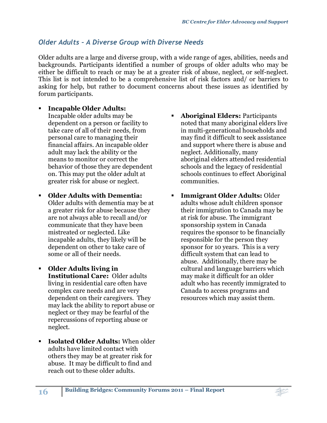# <span id="page-15-0"></span>*Older Adults – A Diverse Group with Diverse Needs*

Older adults are a large and diverse group, with a wide range of ages, abilities, needs and backgrounds. Participants identified a number of groups of older adults who may be either be difficult to reach or may be at a greater risk of abuse, neglect, or self-neglect. This list is not intended to be a comprehensive list of risk factors and/ or barriers to asking for help, but rather to document concerns about these issues as identified by forum participants.

#### **Incapable Older Adults:**

Incapable older adults may be dependent on a person or facility to take care of all of their needs, from personal care to managing their financial affairs. An incapable older adult may lack the ability or the means to monitor or correct the behavior of those they are dependent on. This may put the older adult at greater risk for abuse or neglect.

- **Older Adults with Dementia:** Older adults with dementia may be at a greater risk for abuse because they are not always able to recall and/or communicate that they have been mistreated or neglected. Like incapable adults, they likely will be dependent on other to take care of some or all of their needs.
- **Older Adults living in Institutional Care:** Older adults living in residential care often have complex care needs and are very dependent on their caregivers. They may lack the ability to report abuse or neglect or they may be fearful of the repercussions of reporting abuse or neglect.
- **Isolated Older Adults:** When older adults have limited contact with others they may be at greater risk for abuse. It may be difficult to find and reach out to these older adults.
- **Aboriginal Elders:** Participants noted that many aboriginal elders live in multi-generational households and may find it difficult to seek assistance and support where there is abuse and neglect. Additionally, many aboriginal elders attended residential schools and the legacy of residential schools continues to effect Aboriginal communities.
- **Immigrant Older Adults:** Older adults whose adult children sponsor their immigration to Canada may be at risk for abuse. The immigrant sponsorship system in Canada requires the sponsor to be financially responsible for the person they sponsor for 10 years. This is a very difficult system that can lead to abuse. Additionally, there may be cultural and language barriers which may make it difficult for an older adult who has recently immigrated to Canada to access programs and resources which may assist them.

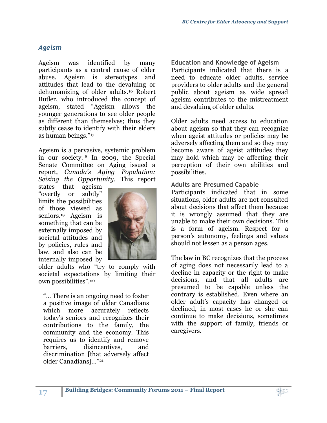# <span id="page-16-0"></span>*Ageism*

Ageism was identified by many participants as a central cause of elder abuse. Ageism is stereotypes and attitudes that lead to the devaluing or dehumanizing of older adults.<sup>16</sup> Robert Butler, who introduced the concept of ageism, stated "Ageism allows the younger generations to see older people as different than themselves; thus they subtly cease to identify with their elders as human beings."<sup>17</sup>

Ageism is a pervasive, systemic problem in our society.<sup>18</sup> In 2009, the Special Senate Committee on Aging issued a report, *Canada's Aging Population: Seizing the Opportunity*. This report

states that ageism "overtly or subtly" limits the possibilities of those viewed as seniors.<sup>19</sup> Ageism is something that can be externally imposed by societal attitudes and by policies, rules and law, and also can be internally imposed by



older adults who "try to comply with societal expectations by limiting their own possibilities".<sup>20</sup>

"… There is an ongoing need to foster a positive image of older Canadians which more accurately reflects today's seniors and recognizes their contributions to the family, the community and the economy. This requires us to identify and remove barriers, disincentives, and discrimination [that adversely affect older Canadians]…"<sup>21</sup>

**Education and Knowledge of Ageism**  Participants indicated that there is a need to educate older adults, service providers to older adults and the general public about ageism as wide spread ageism contributes to the mistreatment and devaluing of older adults.

Older adults need access to education about ageism so that they can recognize when ageist attitudes or policies may be adversely affecting them and so they may become aware of ageist attitudes they may hold which may be affecting their perception of their own abilities and possibilities.

#### **Adults are Presumed Capable**

Participants indicated that in some situations, older adults are not consulted about decisions that affect them because it is wrongly assumed that they are unable to make their own decisions. This is a form of ageism. Respect for a person's autonomy, feelings and values should not lessen as a person ages.

The law in BC recognizes that the process of aging does not necessarily lead to a decline in capacity or the right to make decisions, and that all adults are presumed to be capable unless the contrary is established. Even where an older adult's capacity has changed or declined, in most cases he or she can continue to make decisions, sometimes with the support of family, friends or caregivers.

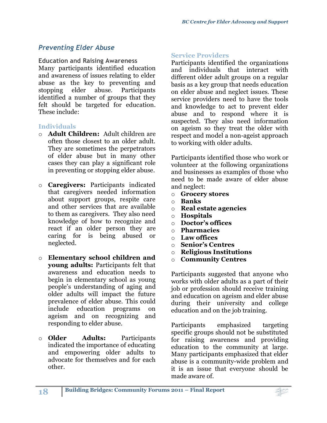# <span id="page-17-0"></span>*Preventing Elder Abuse*

**Education and Raising Awareness** 

Many participants identified education and awareness of issues relating to elder abuse as the key to preventing and stopping elder abuse. Participants identified a number of groups that they felt should be targeted for education. These include:

#### **Individuals**

- o **Adult Children:** Adult children are often those closest to an older adult. They are sometimes the perpetrators of elder abuse but in many other cases they can play a significant role in preventing or stopping elder abuse.
- o **Caregivers:** Participants indicated that caregivers needed information about support groups, respite care and other services that are available to them as caregivers. They also need knowledge of how to recognize and react if an older person they are caring for is being abused or neglected.
- o **Elementary school children and young adults:** Participants felt that awareness and education needs to begin in elementary school as young people's understanding of aging and older adults will impact the future prevalence of elder abuse. This could include education programs on ageism and on recognizing and responding to elder abuse.
- o **Older Adults:** Participants indicated the importance of educating and empowering older adults to advocate for themselves and for each other.

#### **Service Providers**

Participants identified the organizations and individuals that interact with different older adult groups on a regular basis as a key group that needs education on elder abuse and neglect issues. These service providers need to have the tools and knowledge to act to prevent elder abuse and to respond where it is suspected. They also need information on ageism so they treat the older with respect and model a non-ageist approach to working with older adults.

Participants identified those who work or volunteer at the following organizations and businesses as examples of those who need to be made aware of elder abuse and neglect:

- o **Grocery stores**
- o **Banks**
- o **Real estate agencies**
- o **Hospitals**
- o **Doctor's offices**
- o **Pharmacies**
- o **Law offices**
- o **Senior's Centres**
- o **Religious Institutions**
- o **Community Centres**

Participants suggested that anyone who works with older adults as a part of their job or profession should receive training and education on ageism and elder abuse during their university and college education and on the job training.

Participants emphasized targeting specific groups should not be substituted for raising awareness and providing education to the community at large. Many participants emphasized that elder abuse is a community-wide problem and it is an issue that everyone should be made aware of.

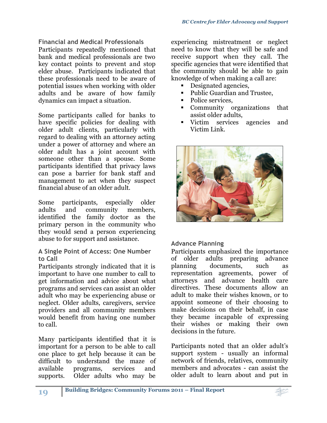#### **Financial and Medical Professionals**

Participants repeatedly mentioned that bank and medical professionals are two key contact points to prevent and stop elder abuse. Participants indicated that these professionals need to be aware of potential issues when working with older adults and be aware of how family dynamics can impact a situation.

Some participants called for banks to have specific policies for dealing with older adult clients, particularly with regard to dealing with an attorney acting under a power of attorney and where an older adult has a joint account with someone other than a spouse. Some participants identified that privacy laws can pose a barrier for bank staff and management to act when they suspect financial abuse of an older adult.

Some participants, especially older adults and community members, identified the family doctor as the primary person in the community who they would send a person experiencing abuse to for support and assistance.

#### **A Single Point of Access: One Number to Call**

Participants strongly indicated that it is important to have one number to call to get information and advice about what programs and services can assist an older adult who may be experiencing abuse or neglect. Older adults, caregivers, service providers and all community members would benefit from having one number to call.

Many participants identified that it is important for a person to be able to call one place to get help because it can be difficult to understand the maze of available programs, services and supports. Older adults who may be

experiencing mistreatment or neglect need to know that they will be safe and receive support when they call. The specific agencies that were identified that the community should be able to gain knowledge of when making a call are:

- Designated agencies,
- Public Guardian and Trustee,
- Police services.
- Community organizations that assist older adults,
- Victim services agencies and Victim Link.



#### **Advance Planning**

Participants emphasized the importance of older adults preparing advance planning documents, such as representation agreements, power of attorneys and advance health care directives. These documents allow an adult to make their wishes known, or to appoint someone of their choosing to make decisions on their behalf, in case they became incapable of expressing their wishes or making their own decisions in the future.

Participants noted that an older adult's support system - usually an informal network of friends, relatives, community members and advocates - can assist the older adult to learn about and put in

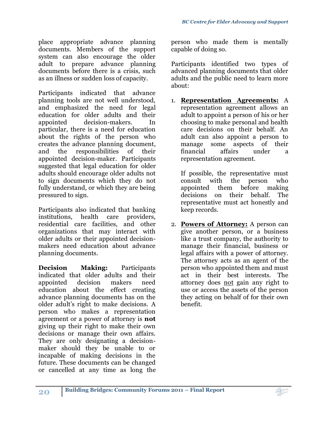place appropriate advance planning documents. Members of the support system can also encourage the older adult to prepare advance planning documents before there is a crisis, such as an illness or sudden loss of capacity.

Participants indicated that advance planning tools are not well understood, and emphasized the need for legal education for older adults and their appointed decision-makers. In particular, there is a need for education about the rights of the person who creates the advance planning document, and the responsibilities of their appointed decision-maker. Participants suggested that legal education for older adults should encourage older adults not to sign documents which they do not fully understand, or which they are being pressured to sign.

Participants also indicated that banking institutions, health care providers, residential care facilities, and other organizations that may interact with older adults or their appointed decisionmakers need education about advance planning documents.

**Decision Making:** Participants indicated that older adults and their appointed decision makers need education about the effect creating advance planning documents has on the older adult's right to make decisions. A person who makes a representation agreement or a power of attorney is **not** giving up their right to make their own decisions or manage their own affairs. They are only designating a decisionmaker should they be unable to or incapable of making decisions in the future. These documents can be changed or cancelled at any time as long the person who made them is mentally capable of doing so.

Participants identified two types of advanced planning documents that older adults and the public need to learn more about:

1. **Representation Agreements:** A representation agreement allows an adult to appoint a person of his or her choosing to make personal and health care decisions on their behalf. An adult can also appoint a person to manage some aspects of their financial affairs under a representation agreement.

If possible, the representative must consult with the person who appointed them before making decisions on their behalf. The representative must act honestly and keep records.

2. **Powers of Attorney:** A person can give another person, or a business like a trust company, the authority to manage their financial, business or legal affairs with a power of attorney. The attorney acts as an agent of the person who appointed them and must act in their best interests. The attorney does not gain any right to use or access the assets of the person they acting on behalf of for their own benefit.

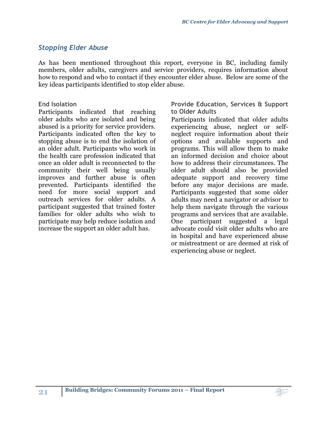# <span id="page-20-0"></span>*Stopping Elder Abuse*

As has been mentioned throughout this report, everyone in BC, including family members, older adults, caregivers and service providers, requires information about how to respond and who to contact if they encounter elder abuse. Below are some of the key ideas participants identified to stop elder abuse.

#### **End Isolation**

Participants indicated that reaching older adults who are isolated and being abused is a priority for service providers. Participants indicated often the key to stopping abuse is to end the isolation of an older adult. Participants who work in the health care profession indicated that once an older adult is reconnected to the community their well being usually improves and further abuse is often prevented. Participants identified the need for more social support and outreach services for older adults. A participant suggested that trained foster families for older adults who wish to participate may help reduce isolation and increase the support an older adult has.

**Provide Education, Services & Support to Older Adults**

Participants indicated that older adults experiencing abuse, neglect or selfneglect require information about their options and available supports and programs. This will allow them to make an informed decision and choice about how to address their circumstances. The older adult should also be provided adequate support and recovery time before any major decisions are made. Participants suggested that some older adults may need a navigator or advisor to help them navigate through the various programs and services that are available. One participant suggested a legal advocate could visit older adults who are in hospital and have experienced abuse or mistreatment or are deemed at risk of experiencing abuse or neglect.

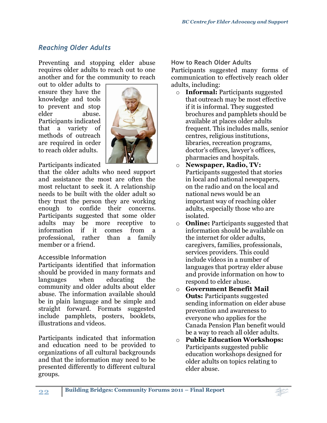# <span id="page-21-0"></span>*Reaching Older Adults*

Preventing and stopping elder abuse requires older adults to reach out to one another and for the community to reach

out to older adults to ensure they have the knowledge and tools to prevent and stop elder abuse. Participants indicated that a variety of methods of outreach are required in order to reach older adults.



Participants indicated

that the older adults who need support and assistance the most are often the most reluctant to seek it. A relationship needs to be built with the older adult so they trust the person they are working enough to confide their concerns. Participants suggested that some older adults may be more receptive to information if it comes from a professional, rather than a family member or a friend.

#### **Accessible Information**

Participants identified that information should be provided in many formats and languages when educating the community and older adults about elder abuse. The information available should be in plain language and be simple and straight forward. Formats suggested include pamphlets, posters, booklets, illustrations and videos.

Participants indicated that information and education need to be provided to organizations of all cultural backgrounds and that the information may need to be presented differently to different cultural groups.

**How to Reach Older Adults**

Participants suggested many forms of communication to effectively reach older adults, including:

- o **Informal:** Participants suggested that outreach may be most effective if it is informal. They suggested brochures and pamphlets should be available at places older adults frequent. This includes malls, senior centres, religious institutions, libraries, recreation programs, doctor's offices, lawyer's offices, pharmacies and hospitals.
- o **Newspaper, Radio, TV:** Participants suggested that stories in local and national newspapers, on the radio and on the local and national news would be an important way of reaching older adults, especially those who are isolated.
- o **Online:** Participants suggested that information should be available on the internet for older adults, caregivers, families, professionals, services providers. This could include videos in a number of languages that portray elder abuse and provide information on how to respond to elder abuse.
- o **Government Benefit Mail Outs:** Participants suggested sending information on elder abuse prevention and awareness to everyone who applies for the Canada Pension Plan benefit would be a way to reach all older adults.
- o **Public Education Workshops:** Participants suggested public education workshops designed for older adults on topics relating to elder abuse.

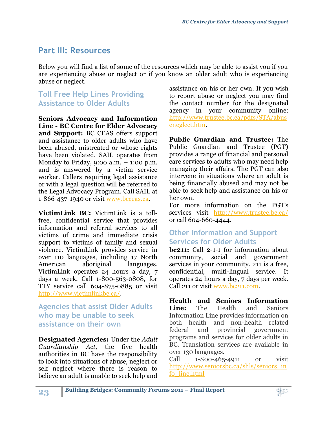# <span id="page-22-0"></span>**Part III: Resources**

Below you will find a list of some of the resources which may be able to assist you if you are experiencing abuse or neglect or if you know an older adult who is experiencing abuse or neglect.

# <span id="page-22-1"></span>**Toll Free Help Lines Providing Assistance to Older Adults**

**Seniors Advocacy and Information Line - BC Centre for Elder Advocacy and Support:** BC CEAS offers support and assistance to older adults who have been abused, mistreated or whose rights have been violated. SAIL operates from Monday to Friday, 9:00 a.m.  $-$  1:00 p.m. and is answered by a victim service worker. Callers requiring legal assistance or with a legal question will be referred to the Legal Advocacy Program. Call SAIL at 1-866-437-1940 or visit [www.bcceas.ca.](http://www.bcceas.ca/)

**VictimLink BC:** VictimLink is a tollfree, confidential service that provides information and referral services to all victims of crime and immediate crisis support to victims of family and sexual violence. VictimLink provides service in over 110 languages, including 17 North American aboriginal languages. VictimLink operates 24 hours a day, 7 days a week. Call 1-800-563-0808, for TTY service call 604-875-0885 or visit [http://www.victimlinkbc.ca/.](http://www.victimlinkbc.ca/)

# <span id="page-22-2"></span>**Agencies that assist Older Adults who may be unable to seek assistance on their own**

**Designated Agencies:** Under the *Adult Guardianship Act*, the five health authorities in BC have the responsibility to look into situations of abuse, neglect or self neglect where there is reason to believe an adult is unable to seek help and assistance on his or her own. If you wish to report abuse or neglect you may find the contact number for the designated agency in your community online: [http://www.trustee.bc.ca/pdfs/STA/abus](http://www.trustee.bc.ca/pdfs/STA/abuseneglect.htm) [eneglect.htm.](http://www.trustee.bc.ca/pdfs/STA/abuseneglect.htm)

**Public Guardian and Trustee:** The Public Guardian and Trustee (PGT) provides a range of financial and personal care services to adults who may need help managing their affairs. The PGT can also intervene in situations where an adult is being financially abused and may not be able to seek help and assistance on his or her own.

For more information on the PGT's services visit <http://www.trustee.bc.ca/> or call 604-660-4444.

# <span id="page-22-3"></span>**Other Information and Support Services for Older Adults**

**bc211:** Call 2-1-1 for information about community, social and government services in your community. 211 is a free, confidential, multi-lingual service. It operates 24 hours a day, 7 days per week. Call 211 or visit [www.bc211.com.](http://www.bc211.com/)

**Health and Seniors Information Line:** The Health and Seniors Information Line provides information on both health and non-health related federal and provincial government programs and services for older adults in BC. Translation services are available in over 130 languages.

Call 1-800-465-4911 or visit [http://www.seniorsbc.ca/shls/seniors\\_in](http://www.seniorsbc.ca/shls/seniors_info_line.html) [fo\\_line.html](http://www.seniorsbc.ca/shls/seniors_info_line.html)

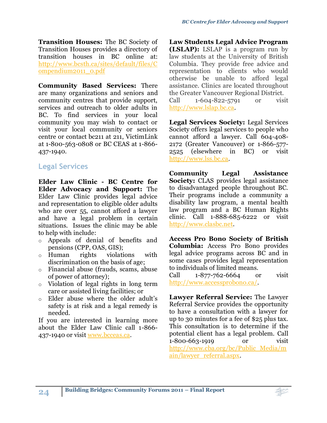**Transition Houses:** The BC Society of Transition Houses provides a directory of transition houses in BC online at: [http://www.bcsth.ca/sites/default/files/C](http://www.bcsth.ca/sites/default/files/Compendium2011_0.pdf) [ompendium2011\\_0.pdf](http://www.bcsth.ca/sites/default/files/Compendium2011_0.pdf)

**Community Based Services:** There are many organizations and seniors and community centres that provide support, services and outreach to older adults in BC. To find services in your local community you may wish to contact or visit your local community or seniors centre or contact bc211 at 211, VictimLink at 1-800-563-0808 or BC CEAS at 1-866- 437-1940.

# <span id="page-23-0"></span>**Legal Services**

**Elder Law Clinic - BC Centre for Elder Advocacy and Support:** The Elder Law Clinic provides legal advice and representation to eligible older adults who are over 55, cannot afford a lawyer and have a legal problem in certain situations. Issues the clinic may be able to help with include:

- o Appeals of denial of benefits and pensions (CPP, OAS, GIS);
- o Human rights violations with discrimination on the basis of age;
- o Financial abuse (frauds, scams, abuse of power of attorney);
- o Violation of legal rights in long term care or assisted living facilities; or
- o Elder abuse where the older adult's safety is at risk and a legal remedy is needed.

If you are interested in learning more about the Elder Law Clinic call 1-866- 437-1940 or visit [www.bcceas.ca.](http://www.bcceas.ca/)

**Law Students Legal Advice Program (LSLAP):** LSLAP is a program run by law students at the University of British Columbia. They provide free advice and representation to clients who would otherwise be unable to afford legal assistance. Clinics are located throughout the Greater Vancouver Regional District. Call 1-604-822-5791 or visit

[http://www.lslap.bc.ca.](http://www.lslap.bc.ca/)

**Legal Services Society:** Legal Services Society offers legal services to people who cannot afford a lawyer. Call 604-408- 2172 (Greater Vancouver) or 1-866-577- 2525 (elsewhere in BC) or visit [http://www.lss.bc.ca.](http://www.lss.bc.ca/)

**Community Legal Assistance Society:** CLAS provides legal assistance to disadvantaged people throughout BC. Their programs include a community a disability law program, a mental health law program and a BC Human Rights clinic. Call 1-888-685-6222 or visit [http://www.clasbc.net.](http://www.clasbc.net/)

**Access Pro Bono Society of British Columbia:** Access Pro Bono provides legal advice programs across BC and in some cases provides legal representation to individuals of limited means.

Call 1-877-762-6664 or visit [http://www.accessprobono.ca/.](http://www.accessprobono.ca/)

**Lawyer Referral Service:** The Lawyer Referral Service provides the opportunity to have a consultation with a lawyer for up to 30 minutes for a fee of \$25 plus tax. This consultation is to determine if the potential client has a legal problem. Call 1-800-663-1919 or visit [http://www.cba.org/bc/Public\\_Media/m](http://www.cba.org/bc/Public_Media/main/lawyer_referral.aspx) [ain/lawyer\\_referral.aspx.](http://www.cba.org/bc/Public_Media/main/lawyer_referral.aspx)

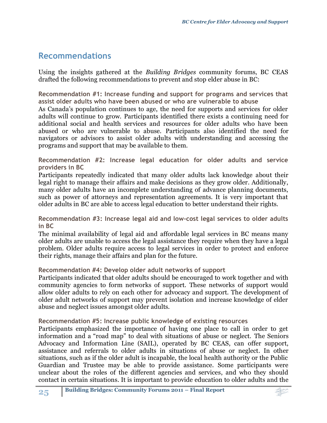# <span id="page-24-0"></span>**Recommendations**

Using the insights gathered at the *Building Bridges* community forums, BC CEAS drafted the following recommendations to prevent and stop elder abuse in BC:

**Recommendation #1: Increase funding and support for programs and services that assist older adults who have been abused or who are vulnerable to abuse**

As Canada's population continues to age, the need for supports and services for older adults will continue to grow. Participants identified there exists a continuing need for additional social and health services and resources for older adults who have been abused or who are vulnerable to abuse. Participants also identified the need for navigators or advisors to assist older adults with understanding and accessing the programs and support that may be available to them.

**Recommendation #2: Increase legal education for older adults and service providers in BC**

Participants repeatedly indicated that many older adults lack knowledge about their legal right to manage their affairs and make decisions as they grow older. Additionally, many older adults have an incomplete understanding of advance planning documents, such as power of attorneys and representation agreements. It is very important that older adults in BC are able to access legal education to better understand their rights.

**Recommendation #3: Increase legal aid and low-cost legal services to older adults in BC**

The minimal availability of legal aid and affordable legal services in BC means many older adults are unable to access the legal assistance they require when they have a legal problem. Older adults require access to legal services in order to protect and enforce their rights, manage their affairs and plan for the future.

#### **Recommendation #4: Develop older adult networks of support**

Participants indicated that older adults should be encouraged to work together and with community agencies to form networks of support. These networks of support would allow older adults to rely on each other for advocacy and support. The development of older adult networks of support may prevent isolation and increase knowledge of elder abuse and neglect issues amongst older adults.

#### **Recommendation #5: Increase public knowledge of existing resources**

Participants emphasized the importance of having one place to call in order to get information and a "road map" to deal with situations of abuse or neglect. The Seniors Advocacy and Information Line (SAIL), operated by BC CEAS, can offer support, assistance and referrals to older adults in situations of abuse or neglect. In other situations, such as if the older adult is incapable, the local health authority or the Public Guardian and Trustee may be able to provide assistance. Some participants were unclear about the roles of the different agencies and services, and who they should contact in certain situations. It is important to provide education to older adults and the

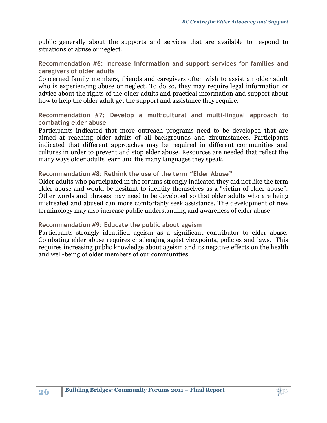public generally about the supports and services that are available to respond to situations of abuse or neglect.

**Recommendation #6: Increase information and support services for families and caregivers of older adults**

Concerned family members, friends and caregivers often wish to assist an older adult who is experiencing abuse or neglect. To do so, they may require legal information or advice about the rights of the older adults and practical information and support about how to help the older adult get the support and assistance they require.

**Recommendation #7: Develop a multicultural and multi-lingual approach to combating elder abuse**

Participants indicated that more outreach programs need to be developed that are aimed at reaching older adults of all backgrounds and circumstances. Participants indicated that different approaches may be required in different communities and cultures in order to prevent and stop elder abuse. Resources are needed that reflect the many ways older adults learn and the many languages they speak.

#### **Recommendation #8: Rethink the use of the term "Elder Abuse"**

Older adults who participated in the forums strongly indicated they did not like the term elder abuse and would be hesitant to identify themselves as a "victim of elder abuse". Other words and phrases may need to be developed so that older adults who are being mistreated and abused can more comfortably seek assistance. The development of new terminology may also increase public understanding and awareness of elder abuse.

#### **Recommendation #9: Educate the public about ageism**

Participants strongly identified ageism as a significant contributor to elder abuse. Combating elder abuse requires challenging ageist viewpoints, policies and laws. This requires increasing public knowledge about ageism and its negative effects on the health and well-being of older members of our communities.

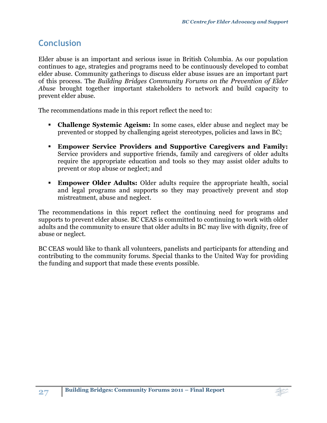# <span id="page-26-0"></span>**Conclusion**

Elder abuse is an important and serious issue in British Columbia. As our population continues to age, strategies and programs need to be continuously developed to combat elder abuse. Community gatherings to discuss elder abuse issues are an important part of this process. The *Building Bridges Community Forums on the Prevention of Elder Abuse* brought together important stakeholders to network and build capacity to prevent elder abuse.

The recommendations made in this report reflect the need to:

- **Challenge Systemic Ageism:** In some cases, elder abuse and neglect may be prevented or stopped by challenging ageist stereotypes, policies and laws in BC;
- **Empower Service Providers and Supportive Caregivers and Family:**  Service providers and supportive friends, family and caregivers of older adults require the appropriate education and tools so they may assist older adults to prevent or stop abuse or neglect; and
- **Empower Older Adults:** Older adults require the appropriate health, social and legal programs and supports so they may proactively prevent and stop mistreatment, abuse and neglect.

The recommendations in this report reflect the continuing need for programs and supports to prevent elder abuse. BC CEAS is committed to continuing to work with older adults and the community to ensure that older adults in BC may live with dignity, free of abuse or neglect.

BC CEAS would like to thank all volunteers, panelists and participants for attending and contributing to the community forums. Special thanks to the United Way for providing the funding and support that made these events possible.